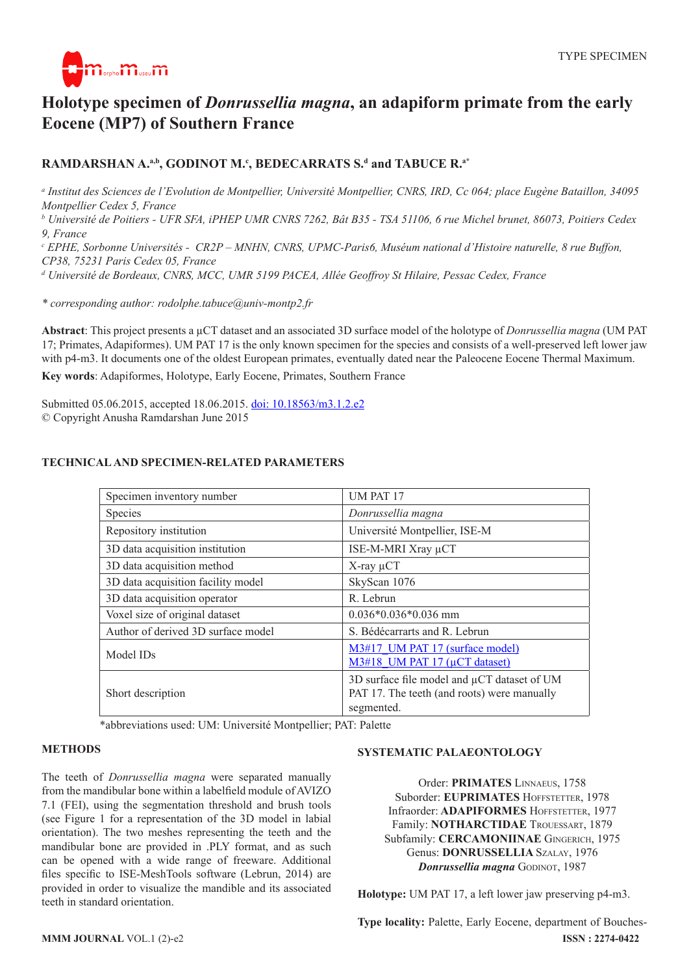

# **Holotype specimen of** *Donrussellia magna***, an adapiform primate from the early Eocene (MP7) of Southern France**

## **RAMDARSHAN A.<sup>a,b</sup>, GODINOT M.<sup>c</sup>, BEDECARRATS S.<sup>d</sup> and TABUCE R.<sup>a\*</sup>**

*a Institut des Sciences de l'Evolution de Montpellier, Université Montpellier, CNRS, IRD, Cc 064; place Eugène Bataillon, 34095 Montpellier Cedex 5, France*

*b Université de Poitiers - UFR SFA, iPHEP UMR CNRS 7262, Bât B35 - TSA 51106, 6 rue Michel brunet, 86073, Poitiers Cedex 9, France*

*c EPHE, Sorbonne Universités - CR2P – MNHN, CNRS, UPMC-Paris6, Muséum national d'Histoire naturelle, 8 rue Buffon, CP38, 75231 Paris Cedex 05, France*

*d Université de Bordeaux, CNRS, MCC, UMR 5199 PACEA, Allée Geoffroy St Hilaire, Pessac Cedex, France*

*\* corresponding author: rodolphe.tabuce@univ-montp2.fr*

**Abstract**: This project presents a µCT dataset and an associated 3D surface model of the holotype of *Donrussellia magna* (UM PAT 17; Primates, Adapiformes). UM PAT 17 is the only known specimen for the species and consists of a well-preserved left lower jaw with p4-m3. It documents one of the oldest European primates, eventually dated near the Paleocene Eocene Thermal Maximum.

**Key words**: Adapiformes, Holotype, Early Eocene, Primates, Southern France

Submitted 05.06.2015, accepted 18.06.2015. doi: [10.18563/m3.1.2.e2](http://dx.doi.org/10.18563/m3.1.2.e2) © Copyright Anusha Ramdarshan June 2015

| Specimen inventory number          | UM PAT 17                                                                                                |
|------------------------------------|----------------------------------------------------------------------------------------------------------|
| Species                            | Donrussellia magna                                                                                       |
| Repository institution             | Université Montpellier, ISE-M                                                                            |
| 3D data acquisition institution    | ISE-M-MRI Xray µCT                                                                                       |
| 3D data acquisition method         | $X$ -ray $\mu$ CT                                                                                        |
| 3D data acquisition facility model | SkyScan 1076                                                                                             |
| 3D data acquisition operator       | R. Lebrun                                                                                                |
| Voxel size of original dataset     | $0.036*0.036*0.036$ mm                                                                                   |
| Author of derived 3D surface model | S. Bédécarrarts and R. Lebrun                                                                            |
| Model ID <sub>s</sub>              | M3#17 UM PAT 17 (surface model)<br>$M3#18$ UM PAT 17 ( $\mu$ CT dataset)                                 |
| Short description                  | 3D surface file model and µCT dataset of UM<br>PAT 17. The teeth (and roots) were manually<br>segmented. |

### **TECHNICAL AND SPECIMEN-RELATED PARAMETERS**

\*abbreviations used: UM: Université Montpellier; PAT: Palette

#### **METHODS**

The teeth of *Donrussellia magna* were separated manually from the mandibular bone within a labelfield module of AVIZO 7.1 (FEI), using the segmentation threshold and brush tools (see Figure 1 for a representation of the 3D model in labial orientation). The two meshes representing the teeth and the mandibular bone are provided in .PLY format, and as such can be opened with a wide range of freeware. Additional files specific to ISE-MeshTools software (Lebrun, 2014) are provided in order to visualize the mandible and its associated teeth in standard orientation.

#### **SYSTEMATIC PALAEONTOLOGY**

Order: **PRIMATES** Linnaeus, 1758 Suborder: **EUPRIMATES** HOFFSTETTER, 1978 Infraorder: **ADAPIFORMES** HOFFSTETTER, 1977 Family: **NOTHARCTIDAE** Trouessart, 1879 Subfamily: **CERCAMONIINAE** Gingerich, 1975 Genus: **DONRUSSELLIA** Szalay, 1976 *Donrussellia magna* GODINOT, 1987

**Holotype:** UM PAT 17, a left lower jaw preserving p4-m3.

**MMM JOURNAL** VOL.1 (2)-e2 **ISSN : 2274-0422 Type locality: Palette, Early Eocene, department of Bouches-**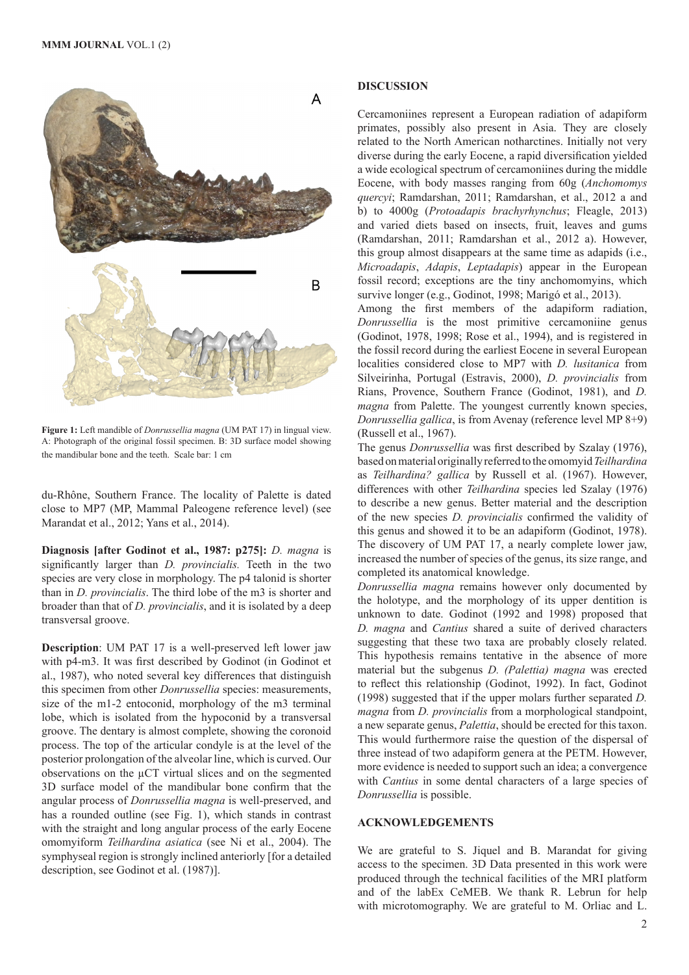

**Figure 1:** Left mandible of *Donrussellia magna* (UM PAT 17) in lingual view. A: Photograph of the original fossil specimen. B: 3D surface model showing the mandibular bone and the teeth. Scale bar: 1 cm

du-Rhône, Southern France. The locality of Palette is dated close to MP7 (MP, Mammal Paleogene reference level) (see Marandat et al., 2012; Yans et al., 2014).

**Diagnosis [after Godinot et al., 1987: p275]:** *D. magna* is significantly larger than *D. provincialis.* Teeth in the two species are very close in morphology. The p4 talonid is shorter than in *D. provincialis*. The third lobe of the m3 is shorter and broader than that of *D. provincialis*, and it is isolated by a deep transversal groove.

**Description**: UM PAT 17 is a well-preserved left lower jaw with p4-m3. It was first described by Godinot (in Godinot et al., 1987), who noted several key differences that distinguish this specimen from other *Donrussellia* species: measurements, size of the m1-2 entoconid, morphology of the m3 terminal lobe, which is isolated from the hypoconid by a transversal groove. The dentary is almost complete, showing the coronoid process. The top of the articular condyle is at the level of the posterior prolongation of the alveolar line, which is curved. Our observations on the µCT virtual slices and on the segmented 3D surface model of the mandibular bone confirm that the angular process of *Donrussellia magna* is well-preserved, and has a rounded outline (see Fig. 1), which stands in contrast with the straight and long angular process of the early Eocene omomyiform *Teilhardina asiatica* (see Ni et al., 2004). The symphyseal region is strongly inclined anteriorly [for a detailed description, see Godinot et al. (1987)].

#### **DISCUSSION**

Cercamoniines represent a European radiation of adapiform primates, possibly also present in Asia. They are closely related to the North American notharctines. Initially not very diverse during the early Eocene, a rapid diversification yielded a wide ecological spectrum of cercamoniines during the middle Eocene, with body masses ranging from 60g (*Anchomomys quercyi*; Ramdarshan, 2011; Ramdarshan, et al., 2012 a and b) to 4000g (*Protoadapis brachyrhynchus*; Fleagle, 2013) and varied diets based on insects, fruit, leaves and gums (Ramdarshan, 2011; Ramdarshan et al., 2012 a). However, this group almost disappears at the same time as adapids (i.e., *Microadapis*, *Adapis*, *Leptadapis*) appear in the European fossil record; exceptions are the tiny anchomomyins, which survive longer (e.g., Godinot, 1998; Marigó et al., 2013).

Among the first members of the adapiform radiation, *Donrussellia* is the most primitive cercamoniine genus (Godinot, 1978, 1998; Rose et al., 1994), and is registered in the fossil record during the earliest Eocene in several European localities considered close to MP7 with *D. lusitanica* from Silveirinha, Portugal (Estravis, 2000), *D. provincialis* from Rians, Provence, Southern France (Godinot, 1981), and *D. magna* from Palette. The youngest currently known species, *Donrussellia gallica*, is from Avenay (reference level MP 8+9) (Russell et al., 1967).

The genus *Donrussellia* was first described by Szalay (1976), based on material originally referred to the omomyid *Teilhardina*  as *Teilhardina? gallica* by Russell et al. (1967). However, differences with other *Teilhardina* species led Szalay (1976) to describe a new genus. Better material and the description of the new species *D. provincialis* confirmed the validity of this genus and showed it to be an adapiform (Godinot, 1978). The discovery of UM PAT 17, a nearly complete lower jaw, increased the number of species of the genus, its size range, and completed its anatomical knowledge.

*Donrussellia magna* remains however only documented by the holotype, and the morphology of its upper dentition is unknown to date. Godinot (1992 and 1998) proposed that *D. magna* and *Cantius* shared a suite of derived characters suggesting that these two taxa are probably closely related. This hypothesis remains tentative in the absence of more material but the subgenus *D. (Palettia) magna* was erected to reflect this relationship (Godinot, 1992). In fact, Godinot (1998) suggested that if the upper molars further separated *D. magna* from *D. provincialis* from a morphological standpoint, a new separate genus, *Palettia*, should be erected for this taxon. This would furthermore raise the question of the dispersal of three instead of two adapiform genera at the PETM. However, more evidence is needed to support such an idea; a convergence with *Cantius* in some dental characters of a large species of *Donrussellia* is possible.

#### **ACKNOWLEDGEMENTS**

We are grateful to S. Jiquel and B. Marandat for giving access to the specimen. 3D Data presented in this work were produced through the technical facilities of the MRI platform and of the labEx CeMEB. We thank R. Lebrun for help with microtomography. We are grateful to M. Orliac and L.